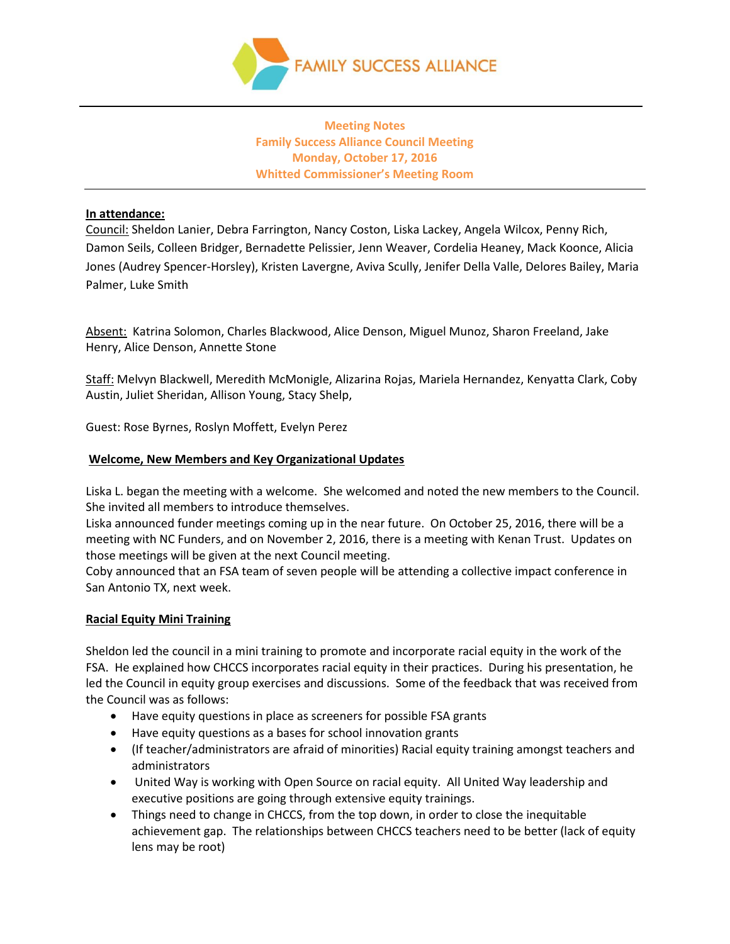

# **Meeting Notes Family Success Alliance Council Meeting Monday, October 17, 2016 Whitted Commissioner's Meeting Room**

## **In attendance:**

Council: Sheldon Lanier, Debra Farrington, Nancy Coston, Liska Lackey, Angela Wilcox, Penny Rich, Damon Seils, Colleen Bridger, Bernadette Pelissier, Jenn Weaver, Cordelia Heaney, Mack Koonce, Alicia Jones (Audrey Spencer-Horsley), Kristen Lavergne, Aviva Scully, Jenifer Della Valle, Delores Bailey, Maria Palmer, Luke Smith

Absent: Katrina Solomon, Charles Blackwood, Alice Denson, Miguel Munoz, Sharon Freeland, Jake Henry, Alice Denson, Annette Stone

Staff: Melvyn Blackwell, Meredith McMonigle, Alizarina Rojas, Mariela Hernandez, Kenyatta Clark, Coby Austin, Juliet Sheridan, Allison Young, Stacy Shelp,

Guest: Rose Byrnes, Roslyn Moffett, Evelyn Perez

# **Welcome, New Members and Key Organizational Updates**

Liska L. began the meeting with a welcome. She welcomed and noted the new members to the Council. She invited all members to introduce themselves.

Liska announced funder meetings coming up in the near future. On October 25, 2016, there will be a meeting with NC Funders, and on November 2, 2016, there is a meeting with Kenan Trust. Updates on those meetings will be given at the next Council meeting.

Coby announced that an FSA team of seven people will be attending a collective impact conference in San Antonio TX, next week.

### **Racial Equity Mini Training**

Sheldon led the council in a mini training to promote and incorporate racial equity in the work of the FSA. He explained how CHCCS incorporates racial equity in their practices. During his presentation, he led the Council in equity group exercises and discussions. Some of the feedback that was received from the Council was as follows:

- Have equity questions in place as screeners for possible FSA grants
- Have equity questions as a bases for school innovation grants
- (If teacher/administrators are afraid of minorities) Racial equity training amongst teachers and administrators
- United Way is working with Open Source on racial equity. All United Way leadership and executive positions are going through extensive equity trainings.
- Things need to change in CHCCS, from the top down, in order to close the inequitable achievement gap. The relationships between CHCCS teachers need to be better (lack of equity lens may be root)